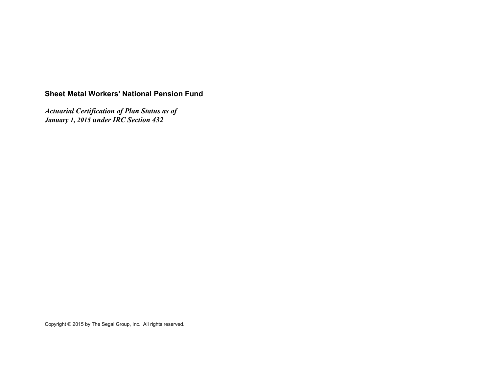# **Sheet Metal Workers' National Pension Fund**

*Actuarial Certification of Plan Status as of January 1, 2015 under IRC Section 432*

Copyright © 2015 by The Segal Group, Inc. All rights reserved.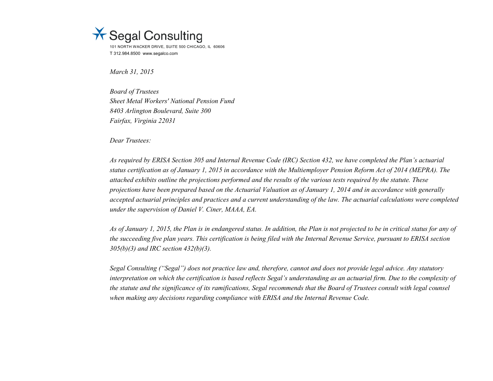

*March 31, 2015*

*Board of Trustees Sheet Metal Workers' National Pension Fund 8403 Arlington Boulevard, Suite 300 Fairfax, Virginia 22031*

*Dear Trustees:*

*As required by ERISA Section 305 and Internal Revenue Code (IRC) Section 432, we have completed the Plan's actuarial status certification as of January 1, 2015 in accordance with the Multiemployer Pension Reform Act of 2014 (MEPRA). The attached exhibits outline the projections performed and the results of the various tests required by the statute. These projections have been prepared based on the Actuarial Valuation as of January 1, 2014 and in accordance with generally accepted actuarial principles and practices and a current understanding of the law. The actuarial calculations were completed under the supervision of Daniel V. Ciner, MAAA, EA.*

*As of January 1, 2015, the Plan is in endangered status. In addition, the Plan is not projected to be in critical status for any of the succeeding five plan years. This certification is being filed with the Internal Revenue Service, pursuant to ERISA section 305(b)(3) and IRC section 432(b)(3).*

*Segal Consulting ("Segal") does not practice law and, therefore, cannot and does not provide legal advice. Any statutory interpretation on which the certification is based reflects Segal's understanding as an actuarial firm. Due to the complexity of the statute and the significance of its ramifications, Segal recommends that the Board of Trustees consult with legal counsel when making any decisions regarding compliance with ERISA and the Internal Revenue Code.*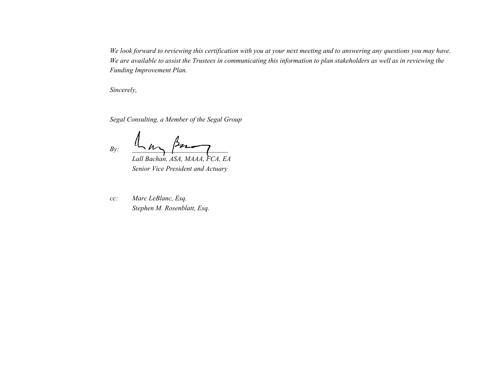*We look forward to reviewing this certification with you at your next meeting and to answering any questions you may have. We are available to assist the Trustees in communicating this information to plan stakeholders as well as in reviewing the Funding Improvement Plan.*

*Sincerely,*

*Segal Consulting, a Member of the Segal Group*

 $By: \quad \xrightarrow{\text{max}} \quad Bz$ 

*Lall Bachan, ASA, MAAA, FCA, EA Senior Vice President and Actuary*

*cc: Marc LeBlanc, Esq. Stephen M. Rosenblatt, Esq.*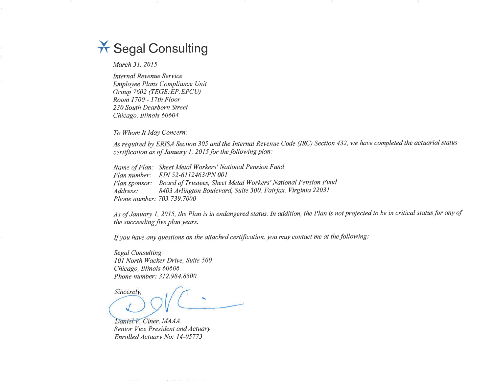# \* Segal Consulting

March 31, 2015

**Internal Revenue Service** Employee Plans Compliance Unit Group 7602 (TEGE:EP:EPCU) Room 1700 - 17th Floor 230 South Dearborn Street Chicago, Illinois 60604

To Whom It May Concern:

As required by ERISA Section 305 and the Internal Revenue Code (IRC) Section 432, we have completed the actuarial status certification as of January 1, 2015 for the following plan:

Name of Plan: Sheet Metal Workers' National Pension Fund Plan number: EIN 52-6112463/PN 001 Plan sponsor: Board of Trustees, Sheet Metal Workers' National Pension Fund 8403 Arlington Boulevard, Suite 300, Fairfax, Virginia 22031 Address: Phone number: 703.739.7000

As of January 1, 2015, the Plan is in endangered status. In addition, the Plan is not projected to be in critical status for any of the succeeding five plan years.

If you have any questions on the attached certification, you may contact me at the following:

**Segal Consulting** 101 North Wacker Drive, Suite 500 Chicago, Illinois 60606 Phone number: 312.984.8500

Sincerely,

Daniel V. Ciner, MAAA Senior Vice President and Actuary Enrolled Actuary No: 14-05773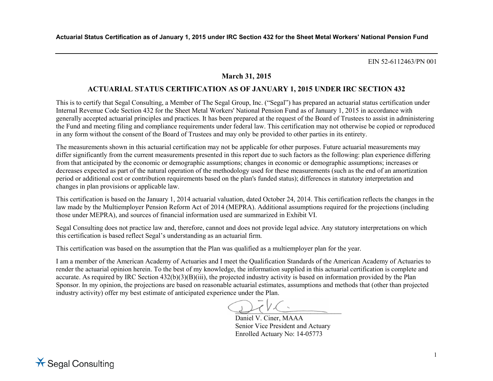# **March 31, 2015**

# **ACTUARIAL STATUS CERTIFICATION AS OF JANUARY 1, 2015 UNDER IRC SECTION 432**

This is to certify that Segal Consulting, a Member of The Segal Group, Inc. ("Segal") has prepared an actuarial status certification under Internal Revenue Code Section 432 for the Sheet Metal Workers' National Pension Fund as of January 1, 2015 in accordance with generally accepted actuarial principles and practices. It has been prepared at the request of the Board of Trustees to assist in administering the Fund and meeting filing and compliance requirements under federal law. This certification may not otherwise be copied or reproduced in any form without the consent of the Board of Trustees and may only be provided to other parties in its entirety.

The measurements shown in this actuarial certification may not be applicable for other purposes. Future actuarial measurements may differ significantly from the current measurements presented in this report due to such factors as the following: plan experience differing from that anticipated by the economic or demographic assumptions; changes in economic or demographic assumptions; increases or decreases expected as part of the natural operation of the methodology used for these measurements (such as the end of an amortization period or additional cost or contribution requirements based on the plan's funded status); differences in statutory interpretation and changes in plan provisions or applicable law.

This certification is based on the January 1, 2014 actuarial valuation, dated October 24, 2014. This certification reflects the changes in the law made by the Multiemployer Pension Reform Act of 2014 (MEPRA). Additional assumptions required for the projections (including those under MEPRA), and sources of financial information used are summarized in Exhibit VI.

Segal Consulting does not practice law and, therefore, cannot and does not provide legal advice. Any statutory interpretations on which this certification is based reflect Segal's understanding as an actuarial firm.

This certification was based on the assumption that the Plan was qualified as a multiemployer plan for the year.

I am a member of the American Academy of Actuaries and I meet the Qualification Standards of the American Academy of Actuaries to render the actuarial opinion herein. To the best of my knowledge, the information supplied in this actuarial certification is complete and accurate. As required by IRC Section 432(b)(3)(B)(iii), the projected industry activity is based on information provided by the Plan Sponsor. In my opinion, the projections are based on reasonable actuarial estimates, assumptions and methods that (other than projected industry activity) offer my best estimate of anticipated experience under the Plan.

 $\bigcup_{i=1}^n V_i$ 

Daniel V. Ciner, MAAA Senior Vice President and Actuary Enrolled Actuary No: 14-05773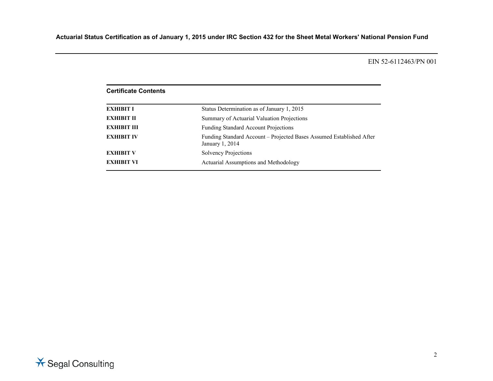| <b>Certificate Contents</b> |                                                                                         |  |  |  |  |
|-----------------------------|-----------------------------------------------------------------------------------------|--|--|--|--|
| <b>EXHIBIT I</b>            | Status Determination as of January 1, 2015                                              |  |  |  |  |
| <b>EXHIBIT II</b>           | Summary of Actuarial Valuation Projections                                              |  |  |  |  |
| <b>EXHIBIT III</b>          | <b>Funding Standard Account Projections</b>                                             |  |  |  |  |
| <b>EXHIBIT IV</b>           | Funding Standard Account – Projected Bases Assumed Established After<br>January 1, 2014 |  |  |  |  |
| <b>EXHIBIT V</b>            | Solvency Projections                                                                    |  |  |  |  |
| <b>EXHIBIT VI</b>           | Actuarial Assumptions and Methodology                                                   |  |  |  |  |

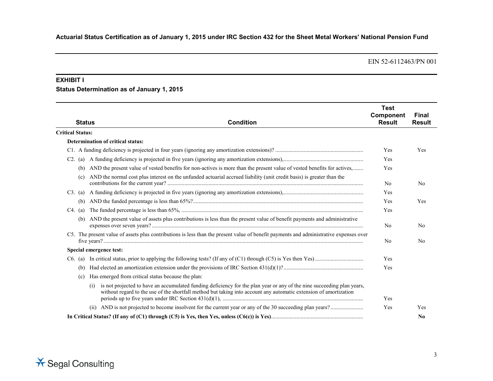#### **EXHIBIT I**

### **Status Determination as of January 1, 2015**

| <b>Status</b>           | <b>Condition</b>                                                                                                                                                                                                                                   | <b>Test</b><br>Component<br><b>Result</b> | <b>Final</b><br><b>Result</b> |
|-------------------------|----------------------------------------------------------------------------------------------------------------------------------------------------------------------------------------------------------------------------------------------------|-------------------------------------------|-------------------------------|
| <b>Critical Status:</b> |                                                                                                                                                                                                                                                    |                                           |                               |
|                         | Determination of critical status:                                                                                                                                                                                                                  |                                           |                               |
|                         |                                                                                                                                                                                                                                                    | Yes                                       | Yes                           |
| C2.<br>(a)              |                                                                                                                                                                                                                                                    | Yes                                       |                               |
| (b)                     | AND the present value of vested benefits for non-actives is more than the present value of vested benefits for actives,                                                                                                                            | Yes                                       |                               |
| (c)                     | AND the normal cost plus interest on the unfunded actuarial accrued liability (unit credit basis) is greater than the                                                                                                                              | N <sub>0</sub>                            | N <sub>0</sub>                |
| $C3.$ (a)               |                                                                                                                                                                                                                                                    | Yes                                       |                               |
| (b)                     |                                                                                                                                                                                                                                                    | Yes                                       | Yes                           |
| $C4.$ (a)               |                                                                                                                                                                                                                                                    | Yes                                       |                               |
| (b)                     | AND the present value of assets plus contributions is less than the present value of benefit payments and administrative                                                                                                                           | N <sub>0</sub>                            | N <sub>0</sub>                |
|                         | C5. The present value of assets plus contributions is less than the present value of benefit payments and administrative expenses over                                                                                                             | N <sub>0</sub>                            | N <sub>0</sub>                |
|                         | Special emergence test:                                                                                                                                                                                                                            |                                           |                               |
| $C6.$ (a)               |                                                                                                                                                                                                                                                    | Yes                                       |                               |
| (b)                     |                                                                                                                                                                                                                                                    | Yes                                       |                               |
| (c)                     | Has emerged from critical status because the plan:                                                                                                                                                                                                 |                                           |                               |
|                         | is not projected to have an accumulated funding deficiency for the plan year or any of the nine succeeding plan years,<br>(i)<br>without regard to the use of the shortfall method but taking into account any automatic extension of amortization | Yes                                       |                               |
|                         | (ii)                                                                                                                                                                                                                                               | Yes                                       | Yes                           |
|                         |                                                                                                                                                                                                                                                    |                                           | N <sub>0</sub>                |

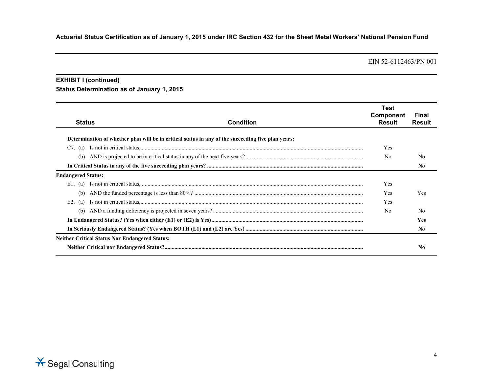#### **EXHIBIT I (continued)**

# **Status Determination as of January 1, 2015**

| <b>Status</b>             | <b>Condition</b>                                                                                   | Test<br>Component<br>Result | Final<br>Result |
|---------------------------|----------------------------------------------------------------------------------------------------|-----------------------------|-----------------|
|                           | Determination of whether plan will be in critical status in any of the succeeding five plan years: |                             |                 |
| $C7.$ (a)                 |                                                                                                    | Yes                         |                 |
| (b)                       |                                                                                                    | N <sub>0</sub>              | N <sub>0</sub>  |
|                           |                                                                                                    |                             | N <sub>0</sub>  |
| <b>Endangered Status:</b> |                                                                                                    |                             |                 |
| E1.<br>(a)                |                                                                                                    | Yes                         |                 |
| (b)                       |                                                                                                    | Yes                         | Yes             |
| E2.<br>(a)                |                                                                                                    | Yes                         |                 |
| (b)                       |                                                                                                    | N <sub>0</sub>              | N <sub>0</sub>  |
|                           |                                                                                                    |                             | <b>Yes</b>      |
|                           |                                                                                                    |                             | N <sub>0</sub>  |
|                           | <b>Neither Critical Status Nor Endangered Status:</b>                                              |                             |                 |
|                           |                                                                                                    |                             | No              |

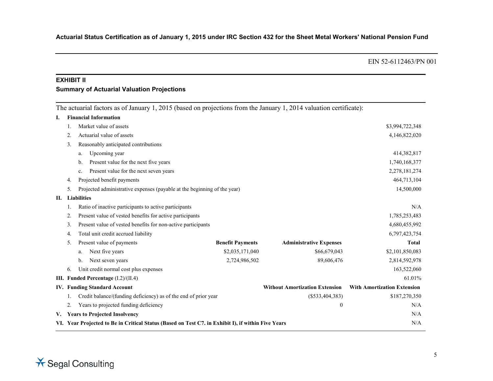#### **EXHIBIT II**

#### **Summary of Actuarial Valuation Projections**

The actuarial factors as of January 1, 2015 (based on projections from the January 1, 2014 valuation certificate):

|    | Market value of assets                                   |                                                                                                                                                                      |                                                                                                                                                                                                             | \$3,994,722,348                                                                                    |
|----|----------------------------------------------------------|----------------------------------------------------------------------------------------------------------------------------------------------------------------------|-------------------------------------------------------------------------------------------------------------------------------------------------------------------------------------------------------------|----------------------------------------------------------------------------------------------------|
| 2. | Actuarial value of assets                                |                                                                                                                                                                      |                                                                                                                                                                                                             | 4,146,822,020                                                                                      |
| 3. | Reasonably anticipated contributions                     |                                                                                                                                                                      |                                                                                                                                                                                                             |                                                                                                    |
|    | Upcoming year<br>a.                                      |                                                                                                                                                                      |                                                                                                                                                                                                             | 414,382,817                                                                                        |
|    | Present value for the next five years<br>b.              |                                                                                                                                                                      |                                                                                                                                                                                                             | 1,740,168,377                                                                                      |
|    | Present value for the next seven years<br>c.             |                                                                                                                                                                      |                                                                                                                                                                                                             | 2,278,181,274                                                                                      |
| 4. | Projected benefit payments                               |                                                                                                                                                                      |                                                                                                                                                                                                             | 464,713,104                                                                                        |
| 5. |                                                          |                                                                                                                                                                      |                                                                                                                                                                                                             | 14,500,000                                                                                         |
|    |                                                          |                                                                                                                                                                      |                                                                                                                                                                                                             |                                                                                                    |
|    | Ratio of inactive participants to active participants    |                                                                                                                                                                      |                                                                                                                                                                                                             | N/A                                                                                                |
| 2. | Present value of vested benefits for active participants |                                                                                                                                                                      |                                                                                                                                                                                                             | 1,785,253,483                                                                                      |
| 3. |                                                          |                                                                                                                                                                      |                                                                                                                                                                                                             | 4,680,455,992                                                                                      |
| 4. | Total unit credit accrued liability                      |                                                                                                                                                                      |                                                                                                                                                                                                             | 6,797,423,754                                                                                      |
| 5. | Present value of payments                                | <b>Benefit Payments</b>                                                                                                                                              | <b>Administrative Expenses</b>                                                                                                                                                                              | <b>Total</b>                                                                                       |
|    | Next five years<br>a.                                    | \$2,035,171,040                                                                                                                                                      | \$66,679,043                                                                                                                                                                                                | \$2,101,850,083                                                                                    |
|    | Next seven years<br>$\mathbf{b}$ .                       | 2,724,986,502                                                                                                                                                        | 89,606,476                                                                                                                                                                                                  | 2,814,592,978                                                                                      |
| 6. | Unit credit normal cost plus expenses                    |                                                                                                                                                                      |                                                                                                                                                                                                             | 163,522,060                                                                                        |
|    |                                                          |                                                                                                                                                                      |                                                                                                                                                                                                             | 61.01%                                                                                             |
|    |                                                          |                                                                                                                                                                      | <b>Without Amortization Extension</b>                                                                                                                                                                       | <b>With Amortization Extension</b>                                                                 |
|    |                                                          |                                                                                                                                                                      | $(\$533,404,383)$                                                                                                                                                                                           | \$187,270,350                                                                                      |
| 2. | Years to projected funding deficiency                    |                                                                                                                                                                      | $\theta$                                                                                                                                                                                                    | N/A                                                                                                |
|    |                                                          |                                                                                                                                                                      |                                                                                                                                                                                                             | N/A                                                                                                |
|    |                                                          |                                                                                                                                                                      |                                                                                                                                                                                                             | N/A                                                                                                |
|    |                                                          | <b>Financial Information</b><br><b>Liabilities</b><br>III. Funded Percentage (I.2)/(II.4)<br><b>IV. Funding Standard Account</b><br>V. Years to Projected Insolvency | Projected administrative expenses (payable at the beginning of the year)<br>Present value of vested benefits for non-active participants<br>Credit balance/(funding deficiency) as of the end of prior year | VI. Year Projected to Be in Critical Status (Based on Test C7. in Exhibit I), if within Five Years |

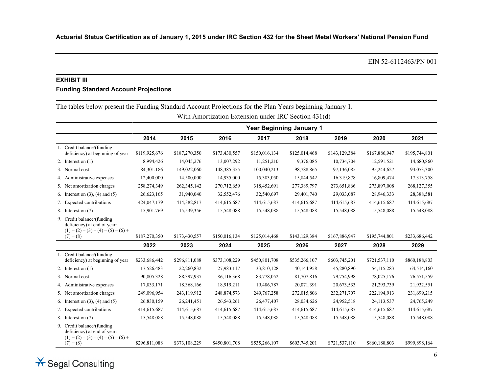# **EXHIBIT III**

#### **Funding Standard Account Projections**

The tables below present the Funding Standard Account Projections for the Plan Years beginning January 1.

|                                                                                                                    |               |               |               |               | <b>Year Beginning January 1</b> |               |               |               |
|--------------------------------------------------------------------------------------------------------------------|---------------|---------------|---------------|---------------|---------------------------------|---------------|---------------|---------------|
|                                                                                                                    | 2014          | 2015          | 2016          | 2017          | 2018                            | 2019          | 2020          | 2021          |
| 1. Credit balance/(funding)<br>deficiency) at beginning of year                                                    | \$119,925,676 | \$187,270,350 | \$173,430,557 | \$150,016,134 | \$125,014,468                   | \$143,129,384 | \$167,886,947 | \$195,744,801 |
| 2. Interest on $(1)$                                                                                               | 8,994,426     | 14,045,276    | 13,007,292    | 11,251,210    | 9,376,085                       | 10,734,704    | 12,591,521    | 14,680,860    |
| 3. Normal cost                                                                                                     | 84,301,186    | 149,022,060   | 148,385,355   | 100,040,213   | 98,788,865                      | 97,136,085    | 95,244,627    | 93,073,300    |
| 4. Administrative expenses                                                                                         | 12,400,000    | 14,500,000    | 14,935,000    | 15,383,050    | 15,844,542                      | 16,319,878    | 16,809,474    | 17,313,758    |
| 5. Net amortization charges                                                                                        | 258,274,349   | 262,345,142   | 270,712,659   | 318,452,691   | 277,389,797                     | 273,651,866   | 273,897,008   | 268,127,355   |
| 6. Interest on $(3)$ , $(4)$ and $(5)$                                                                             | 26,623,165    | 31,940,040    | 32,552,476    | 32,540,697    | 29,401,740                      | 29,033,087    | 28,946,333    | 28,388,581    |
| 7. Expected contributions                                                                                          | 424,047,179   | 414,382,817   | 414,615,687   | 414,615,687   | 414,615,687                     | 414,615,687   | 414,615,687   | 414,615,687   |
| 8. Interest on (7)                                                                                                 | 15,901,769    | 15,539,356    | 15,548,088    | 15,548,088    | 15,548,088                      | 15,548,088    | 15,548,088    | 15,548,088    |
| 9. Credit balance/(funding)<br>deficiency) at end of year:<br>$(1) + (2) - (3) - (4) - (5) - (6) +$<br>$(7) + (8)$ | \$187,270,350 | \$173,430,557 | \$150,016,134 | \$125,014,468 | \$143,129,384                   | \$167,886,947 | \$195,744,801 | \$233,686,442 |
|                                                                                                                    | 2022          | 2023          | 2024          | 2025          | 2026                            | 2027          | 2028          | 2029          |
| 1. Credit balance/(funding)<br>deficiency) at beginning of year                                                    | \$233,686,442 | \$296,811,088 | \$373,108,229 | \$450,801,708 | \$535,266,107                   | \$603,745,201 | \$721,537,110 | \$860,188,803 |
| 2. Interest on $(1)$                                                                                               | 17,526,483    | 22,260,832    | 27,983,117    | 33,810,128    | 40,144,958                      | 45,280,890    | 54,115,283    | 64,514,160    |
| 3. Normal cost                                                                                                     | 90,805,328    | 88,397,937    | 86,116,368    | 83,778,052    | 81,707,816                      | 79,754,998    | 78,025,176    | 76,571,559    |
| 4. Administrative expenses                                                                                         | 17,833,171    | 18,368,166    | 18,919,211    | 19,486,787    | 20,071,391                      | 20,673,533    | 21,293,739    | 21,932,551    |
| 5. Net amortization charges                                                                                        | 249,096,954   | 243,119,912   | 248,874,573   | 249,767,258   | 272,015,806                     | 232,271,707   | 222,194,913   | 231,699,215   |
| 6. Interest on $(3)$ , $(4)$ and $(5)$                                                                             | 26,830,159    | 26,241,451    | 26,543,261    | 26,477,407    | 28,034,626                      | 24,952,518    | 24,113,537    | 24,765,249    |
| 7. Expected contributions                                                                                          | 414,615,687   | 414,615,687   | 414,615,687   | 414,615,687   | 414,615,687                     | 414,615,687   | 414,615,687   | 414,615,687   |
| 8. Interest on (7)                                                                                                 | 15,548,088    | 15,548,088    | 15,548,088    | 15,548,088    | 15,548,088                      | 15,548,088    | 15,548,088    | 15,548,088    |
| 9. Credit balance/(funding<br>deficiency) at end of year:<br>$(1) + (2) - (3) - (4) - (5) - (6) +$<br>$(7) + (8)$  | \$296,811,088 | \$373,108,229 | \$450,801,708 | \$535,266,107 | \$603,745,201                   | \$721,537,110 | \$860,188,803 | \$999,898,164 |

With Amortization Extension under IRC Section 431(d)

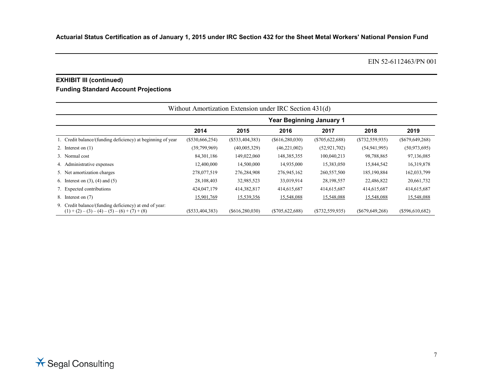# **EXHIBIT III (continued)**

# **Funding Standard Account Projections**

| Without Amortization Extension under IRC Section 431(d)                                                   |                   |                                 |                  |                   |                  |                   |  |
|-----------------------------------------------------------------------------------------------------------|-------------------|---------------------------------|------------------|-------------------|------------------|-------------------|--|
|                                                                                                           |                   | <b>Year Beginning January 1</b> |                  |                   |                  |                   |  |
|                                                                                                           | 2014              | 2015                            | 2016             | 2017              | 2018             | 2019              |  |
| 1. Credit balance/(funding deficiency) at beginning of year                                               | $(\$530,666,254)$ | (S533, 404, 383)                | (S616, 280, 030) | $(\$705,622,688)$ | (S732, 559, 935) | $(\$679,649,268)$ |  |
| 2. Interest on $(1)$                                                                                      | (39,799,969)      | (40,005,329)                    | (46, 221, 002)   | (52, 921, 702)    | (54, 941, 995)   | (50, 973, 695)    |  |
| 3. Normal cost                                                                                            | 84, 301, 186      | 149,022,060                     | 148,385,355      | 100,040,213       | 98,788,865       | 97,136,085        |  |
| 4. Administrative expenses                                                                                | 12,400,000        | 14,500,000                      | 14,935,000       | 15,383,050        | 15,844,542       | 16,319,878        |  |
| 5. Net amortization charges                                                                               | 278,077,519       | 276,284,908                     | 276,945,162      | 260,557,500       | 185,190,884      | 162,033,799       |  |
| 6. Interest on $(3)$ , $(4)$ and $(5)$                                                                    | 28,108,403        | 32,985,523                      | 33,019,914       | 28,198,557        | 22,486,822       | 20,661,732        |  |
| 7. Expected contributions                                                                                 | 424,047,179       | 414,382,817                     | 414,615,687      | 414,615,687       | 414,615,687      | 414,615,687       |  |
| 8. Interest on (7)                                                                                        | 15,901,769        | 15,539,356                      | 15,548,088       | 15,548,088        | 15,548,088       | 15,548,088        |  |
| 9. Credit balance/(funding deficiency) at end of year:<br>$(1) + (2) - (3) - (4) - (5) - (6) + (7) + (8)$ | (S533, 404, 383)  | (S616, 280, 030)                | (S705, 622, 688) | (S732, 559, 935)  | (S679, 649, 268) | $(\$596,610,682)$ |  |

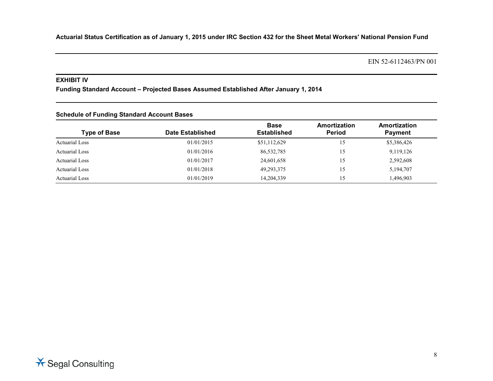EIN 52-6112463/PN 001

#### **EXHIBIT IV**

**Funding Standard Account – Projected Bases Assumed Established After January 1, 2014**

| <b>Schedule of Funding Standard Account Bases</b> |                  |                                   |                               |                                |  |  |
|---------------------------------------------------|------------------|-----------------------------------|-------------------------------|--------------------------------|--|--|
| <b>Type of Base</b>                               | Date Established | <b>Base</b><br><b>Established</b> | Amortization<br><b>Period</b> | Amortization<br><b>Payment</b> |  |  |
| <b>Actuarial Loss</b>                             | 01/01/2015       | \$51,112,629                      | 15                            | \$5,386,426                    |  |  |
| <b>Actuarial Loss</b>                             | 01/01/2016       | 86,532,785                        | 15                            | 9,119,126                      |  |  |
| <b>Actuarial Loss</b>                             | 01/01/2017       | 24,601,658                        | 15                            | 2,592,608                      |  |  |
| <b>Actuarial Loss</b>                             | 01/01/2018       | 49,293,375                        | 15                            | 5,194,707                      |  |  |
| <b>Actuarial Loss</b>                             | 01/01/2019       | 14,204,339                        | 15                            | 1,496,903                      |  |  |

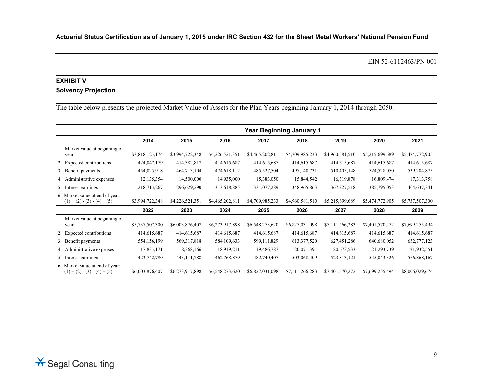EIN 52-6112463/PN 001

# **EXHIBIT V**

# **Solvency Projection**

The table below presents the projected Market Value of Assets for the Plan Years beginning January 1, 2014 through 2050.

|                                                                  | <b>Year Beginning January 1</b> |                 |                 |                 |                 |                 |                 |                 |
|------------------------------------------------------------------|---------------------------------|-----------------|-----------------|-----------------|-----------------|-----------------|-----------------|-----------------|
|                                                                  | 2014                            | 2015            | 2016            | 2017            | 2018            | 2019            | 2020            | 2021            |
| 1. Market value at beginning of<br>year                          | \$3,818,123,174                 | \$3,994,722,348 | \$4,226,521,351 | \$4,465,202,811 | \$4,709,985,233 | \$4,960,581,510 | \$5,215,699,689 | \$5,474,772,905 |
| 2. Expected contributions                                        | 424,047,179                     | 414,382,817     | 414,615,687     | 414,615,687     | 414,615,687     | 414,615,687     | 414,615,687     | 414,615,687     |
| 3. Benefit payments                                              | 454,025,918                     | 464,713,104     | 474,618,112     | 485,527,504     | 497,140,731     | 510,405,148     | 524,528,050     | 539,204,875     |
| 4. Administrative expenses                                       | 12,135,354                      | 14,500,000      | 14,935,000      | 15,383,050      | 15,844,542      | 16,319,878      | 16,809,474      | 17,313,758      |
| 5. Interest earnings                                             | 218,713,267                     | 296,629,290     | 313,618,885     | 331,077,289     | 348,965,863     | 367,227,518     | 385,795,053     | 404,637,341     |
| 6. Market value at end of year:<br>$(1) + (2) - (3) - (4) + (5)$ | \$3,994,722,348                 | \$4,226,521,351 | \$4,465,202,811 | \$4,709,985,233 | \$4,960,581,510 | \$5,215,699,689 | \$5,474,772,905 | \$5,737,507,300 |
|                                                                  | 2022                            | 2023            | 2024            | 2025            | 2026            | 2027            | 2028            | 2029            |
| 1. Market value at beginning of<br>year                          | \$5,737,507,300                 | \$6,003,876,407 | \$6,273,917,898 | \$6,548,273,620 | \$6,827,031,098 | \$7,111,266,283 | \$7,401,570,272 | \$7,699,255,494 |
| 2. Expected contributions                                        | 414,615,687                     | 414,615,687     | 414,615,687     | 414,615,687     | 414,615,687     | 414,615,687     | 414,615,687     | 414,615,687     |
| 3. Benefit payments                                              | 554, 156, 199                   | 569, 317, 818   | 584,109,633     | 599,111,829     | 613,377,520     | 627, 451, 286   | 640,680,052     | 652,777,123     |
| dministrative expenses<br>4. A                                   | 17,833,171                      | 18,368,166      | 18,919,211      | 19,486,787      | 20,071,391      | 20,673,533      | 21,293,739      | 21,932,551      |
| 5. Interest earnings                                             | 423,742,790                     | 443, 111, 788   | 462,768,879     | 482,740,407     | 503,068,409     | 523,813,121     | 545,043,326     | 566,868,167     |
| 6. Market value at end of year:<br>$(1) + (2) - (3) - (4) + (5)$ | \$6,003,876,407                 | \$6,273,917,898 | \$6,548,273,620 | \$6,827,031,098 | \$7,111,266,283 | \$7,401,570,272 | \$7,699,255,494 | \$8,006,029,674 |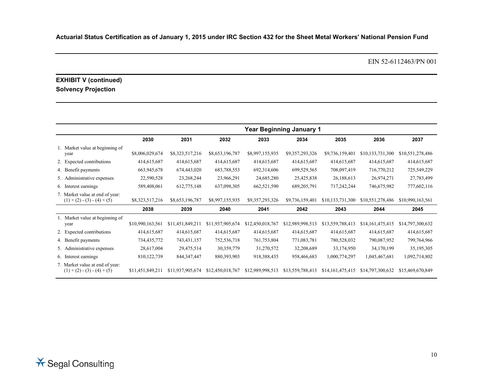EIN 52-6112463/PN 001

# **EXHIBIT V (continued) Solvency Projection**

|                                                                  |                  |                  |                  |                  | <b>Year Beginning January 1</b> |                  |                  |                  |
|------------------------------------------------------------------|------------------|------------------|------------------|------------------|---------------------------------|------------------|------------------|------------------|
|                                                                  | 2030             | 2031             | 2032             | 2033             | 2034                            | 2035             | 2036             | 2037             |
| 1. Market value at beginning of<br>year                          | \$8,006,029,674  | \$8,323,517,216  | \$8,653,196,787  | \$8,997,155,935  | \$9,357,293,326                 | \$9,736,159,401  | \$10,133,731,300 | \$10,551,278,486 |
| 2. Expected contributions                                        | 414,615,687      | 414,615,687      | 414,615,687      | 414,615,687      | 414,615,687                     | 414,615,687      | 414,615,687      | 414,615,687      |
| 4. Benefit payments                                              | 663,945,678      | 674,443,020      | 683,788,553      | 692,314,606      | 699,529,565                     | 708,097,419      | 716,770,212      | 725,549,229      |
| 5. Administrative expenses                                       | 22,590,528       | 23,268,244       | 23,966,291       | 24,685,280       | 25,425,838                      | 26,188,613       | 26,974,271       | 27,783,499       |
| 6. Interest earnings                                             | 589,408,061      | 612,775,148      | 637,098,305      | 662,521,590      | 689,205,791                     | 717,242,244      | 746,675,982      | 777,602,116      |
| 7. Market value at end of year:<br>$(1) + (2) - (3) - (4) + (5)$ | \$8,323,517,216  | \$8,653,196,787  | \$8,997,155,935  | \$9,357,293,326  | \$9,736,159,401                 | \$10,133,731,300 | \$10,551,278,486 | \$10,990,163,561 |
|                                                                  | 2038             | 2039             | 2040             | 2041             | 2042                            | 2043             | 2044             | 2045             |
| 1. Market value at beginning of<br>year                          | \$10,990,163,561 | \$11,451,849,211 | \$11,937,905,674 | \$12,450,018,767 | \$12,989,998,513                | \$13,559,788,413 | \$14,161,475,415 | \$14,797,300,632 |
| 2. Expected contributions                                        | 414,615,687      | 414,615,687      | 414,615,687      | 414,615,687      | 414,615,687                     | 414,615,687      | 414,615,687      | 414,615,687      |
| 4. Benefit payments                                              | 734,435,772      | 743,431,157      | 752,536,718      | 761,753,804      | 771,083,781                     | 780,528,032      | 790,087,952      | 799,764,966      |
| 5. Administrative expenses                                       | 28,617,004       | 29,475,514       | 30,359,779       | 31,270,572       | 32,208,689                      | 33,174,950       | 34,170,199       | 35, 195, 305     |
| 6. Interest earnings                                             | 810, 122, 739    | 844, 347, 447    | 880,393,903      | 918,388,435      | 958,466,683                     | 1,000,774,297    | 1,045,467,681    | 1,092,714,802    |
| 7. Market value at end of year:<br>$(1) + (2) - (3) - (4) + (5)$ | \$11,451,849,211 | \$11,937,905,674 | \$12,450,018,767 | \$12,989,998,513 | \$13,559,788,413                | \$14,161,475,415 | \$14,797,300,632 | \$15,469,670,849 |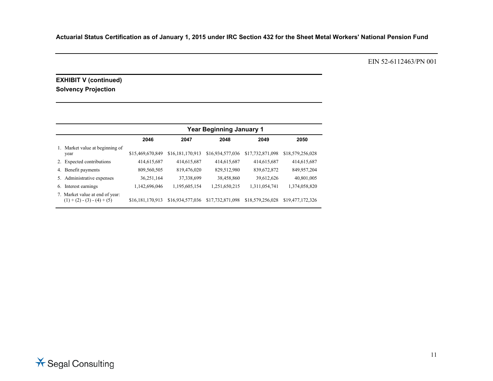EIN 52-6112463/PN 001

# **EXHIBIT V (continued) Solvency Projection**

|    |                                                               |                  | <b>Year Beginning January 1</b> |                  |                  |                  |  |  |
|----|---------------------------------------------------------------|------------------|---------------------------------|------------------|------------------|------------------|--|--|
|    |                                                               | 2046             | 2047                            | 2048             | 2049             | 2050             |  |  |
|    | Market value at beginning of<br>year                          | \$15,469,670,849 | \$16,181,170,913                | \$16,934,577,036 | \$17,732,871,098 | \$18,579,256,028 |  |  |
| 2. | <b>Expected contributions</b>                                 | 414,615,687      | 414,615,687                     | 414,615,687      | 414,615,687      | 414,615,687      |  |  |
| 4. | Benefit payments                                              | 809,560,505      | 819,476,020                     | 829,512,980      | 839,672,872      | 849,957,204      |  |  |
| 5. | Administrative expenses                                       | 36,251,164       | 37,338,699                      | 38,458,860       | 39,612,626       | 40,801,005       |  |  |
| 6. | Interest earnings                                             | 1,142,696,046    | 1,195,605,154                   | 1,251,650,215    | 1,311,054,741    | 1,374,058,820    |  |  |
| 7. | Market value at end of year:<br>$(1) + (2) - (3) - (4) + (5)$ | \$16,181,170,913 | \$16,934,577,036                | \$17,732,871,098 | \$18,579,256,028 | \$19,477,172,326 |  |  |

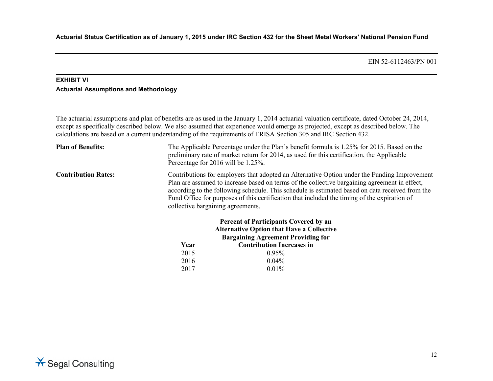# **EXHIBIT VI Actuarial Assumptions and Methodology**

The actuarial assumptions and plan of benefits are as used in the January 1, 2014 actuarial valuation certificate, dated October 24, 2014, except as specifically described below. We also assumed that experience would emerge as projected, except as described below. The calculations are based on a current understanding of the requirements of ERISA Section 305 and IRC Section 432.

| <b>Plan of Benefits:</b>   | The Applicable Percentage under the Plan's benefit formula is 1.25% for 2015. Based on the<br>preliminary rate of market return for 2014, as used for this certification, the Applicable<br>Percentage for 2016 will be 1.25%.                                                                                                                                                                                                        |
|----------------------------|---------------------------------------------------------------------------------------------------------------------------------------------------------------------------------------------------------------------------------------------------------------------------------------------------------------------------------------------------------------------------------------------------------------------------------------|
| <b>Contribution Rates:</b> | Contributions for employers that adopted an Alternative Option under the Funding Improvement<br>Plan are assumed to increase based on terms of the collective bargaining agreement in effect,<br>according to the following schedule. This schedule is estimated based on data received from the<br>Fund Office for purposes of this certification that included the timing of the expiration of<br>collective bargaining agreements. |
|                            | <b>Percent of Participants Covered by an</b><br><b>Alternative Option that Have a Collective</b>                                                                                                                                                                                                                                                                                                                                      |
|                            | <b>Bargaining Agreement Providing for</b>                                                                                                                                                                                                                                                                                                                                                                                             |

| <b>Alternative Option that Have a Collective</b><br><b>Bargaining Agreement Providing for</b> |
|-----------------------------------------------------------------------------------------------|
| <b>Contribution Increases in</b>                                                              |
| 0.95%                                                                                         |
| $0.04\%$                                                                                      |
| $0.01\%$                                                                                      |
|                                                                                               |

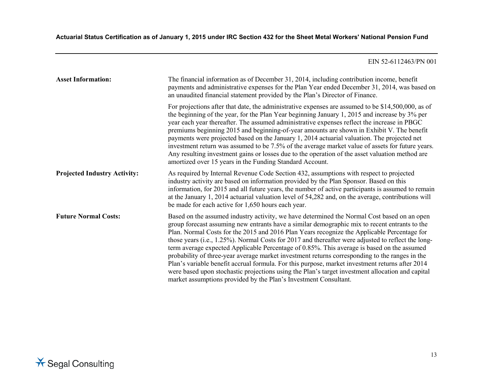| <b>Asset Information:</b>           | The financial information as of December 31, 2014, including contribution income, benefit<br>payments and administrative expenses for the Plan Year ended December 31, 2014, was based on<br>an unaudited financial statement provided by the Plan's Director of Finance.                                                                                                                                                                                                                                                                                                                                                                                                                                                                                                                                                                                                        |
|-------------------------------------|----------------------------------------------------------------------------------------------------------------------------------------------------------------------------------------------------------------------------------------------------------------------------------------------------------------------------------------------------------------------------------------------------------------------------------------------------------------------------------------------------------------------------------------------------------------------------------------------------------------------------------------------------------------------------------------------------------------------------------------------------------------------------------------------------------------------------------------------------------------------------------|
|                                     | For projections after that date, the administrative expenses are assumed to be \$14,500,000, as of<br>the beginning of the year, for the Plan Year beginning January 1, 2015 and increase by 3% per<br>year each year thereafter. The assumed administrative expenses reflect the increase in PBGC<br>premiums beginning 2015 and beginning-of-year amounts are shown in Exhibit V. The benefit<br>payments were projected based on the January 1, 2014 actuarial valuation. The projected net<br>investment return was assumed to be 7.5% of the average market value of assets for future years.<br>Any resulting investment gains or losses due to the operation of the asset valuation method are<br>amortized over 15 years in the Funding Standard Account.                                                                                                                |
| <b>Projected Industry Activity:</b> | As required by Internal Revenue Code Section 432, assumptions with respect to projected<br>industry activity are based on information provided by the Plan Sponsor. Based on this<br>information, for 2015 and all future years, the number of active participants is assumed to remain<br>at the January 1, 2014 actuarial valuation level of 54,282 and, on the average, contributions will<br>be made for each active for 1,650 hours each year.                                                                                                                                                                                                                                                                                                                                                                                                                              |
| <b>Future Normal Costs:</b>         | Based on the assumed industry activity, we have determined the Normal Cost based on an open<br>group forecast assuming new entrants have a similar demographic mix to recent entrants to the<br>Plan. Normal Costs for the 2015 and 2016 Plan Years recognize the Applicable Percentage for<br>those years (i.e., $1.25\%$ ). Normal Costs for 2017 and thereafter were adjusted to reflect the long-<br>term average expected Applicable Percentage of 0.85%. This average is based on the assumed<br>probability of three-year average market investment returns corresponding to the ranges in the<br>Plan's variable benefit accrual formula. For this purpose, market investment returns after 2014<br>were based upon stochastic projections using the Plan's target investment allocation and capital<br>market assumptions provided by the Plan's Investment Consultant. |